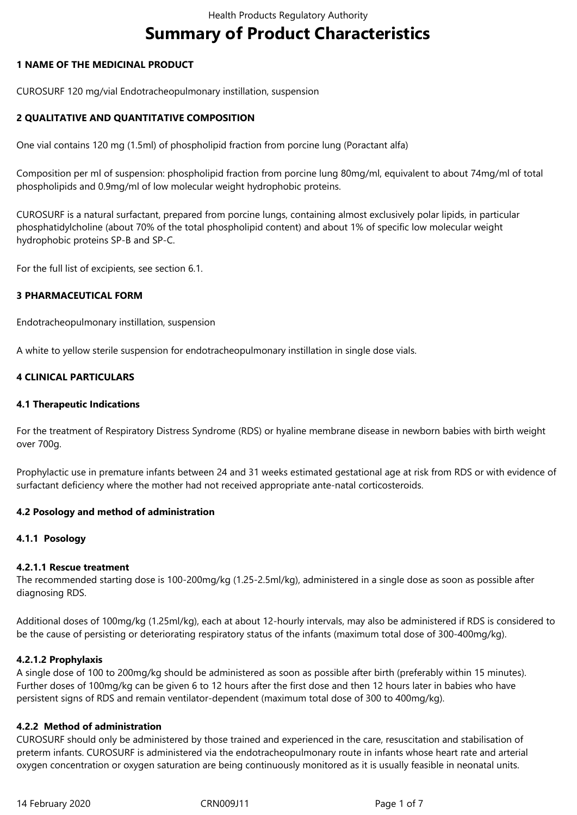# **Summary of Product Characteristics**

# **1 NAME OF THE MEDICINAL PRODUCT**

CUROSURF 120 mg/vial Endotracheopulmonary instillation, suspension

# **2 QUALITATIVE AND QUANTITATIVE COMPOSITION**

One vial contains 120 mg (1.5ml) of phospholipid fraction from porcine lung (Poractant alfa)

Composition per ml of suspension: phospholipid fraction from porcine lung 80mg/ml, equivalent to about 74mg/ml of total phospholipids and 0.9mg/ml of low molecular weight hydrophobic proteins.

CUROSURF is a natural surfactant, prepared from porcine lungs, containing almost exclusively polar lipids, in particular phosphatidylcholine (about 70% of the total phospholipid content) and about 1% of specific low molecular weight hydrophobic proteins SP-B and SP-C.

For the full list of excipients, see section 6.1.

# **3 PHARMACEUTICAL FORM**

Endotracheopulmonary instillation, suspension

A white to yellow sterile suspension for endotracheopulmonary instillation in single dose vials.

### **4 CLINICAL PARTICULARS**

### **4.1 Therapeutic Indications**

For the treatment of Respiratory Distress Syndrome (RDS) or hyaline membrane disease in newborn babies with birth weight over 700g.

Prophylactic use in premature infants between 24 and 31 weeks estimated gestational age at risk from RDS or with evidence of surfactant deficiency where the mother had not received appropriate ante-natal corticosteroids.

### **4.2 Posology and method of administration**

### **4.1.1 Posology**

### **4.2.1.1 Rescue treatment**

The recommended starting dose is 100-200mg/kg (1.25-2.5ml/kg), administered in a single dose as soon as possible after diagnosing RDS.

Additional doses of 100mg/kg (1.25ml/kg), each at about 12-hourly intervals, may also be administered if RDS is considered to be the cause of persisting or deteriorating respiratory status of the infants (maximum total dose of 300-400mg/kg).

### **4.2.1.2 Prophylaxis**

A single dose of 100 to 200mg/kg should be administered as soon as possible after birth (preferably within 15 minutes). Further doses of 100mg/kg can be given 6 to 12 hours after the first dose and then 12 hours later in babies who have persistent signs of RDS and remain ventilator-dependent (maximum total dose of 300 to 400mg/kg).

## **4.2.2 Method of administration**

CUROSURF should only be administered by those trained and experienced in the care, resuscitation and stabilisation of preterm infants. CUROSURF is administered via the endotracheopulmonary route in infants whose heart rate and arterial oxygen concentration or oxygen saturation are being continuously monitored as it is usually feasible in neonatal units.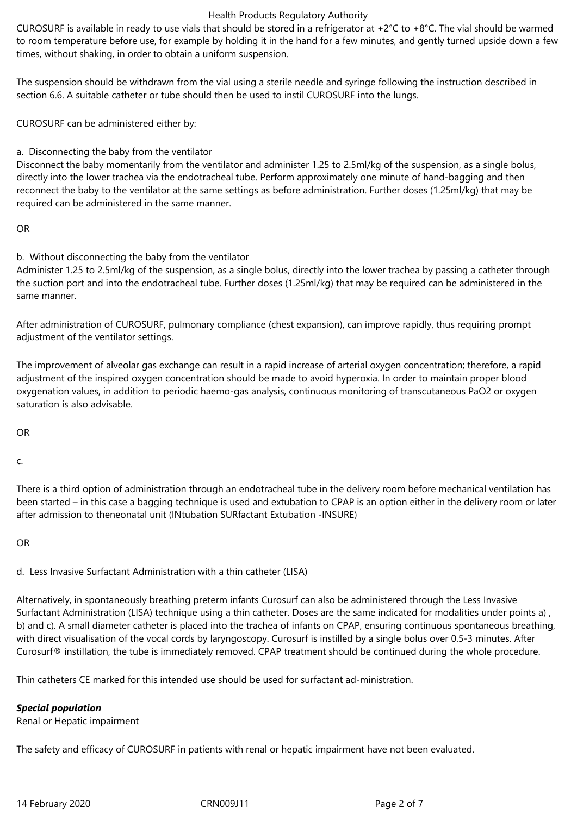#### Health Products Regulatory Authority

CUROSURF is available in ready to use vials that should be stored in a refrigerator at  $+2^{\circ}C$  to  $+8^{\circ}C$ . The vial should be warmed to room temperature before use, for example by holding it in the hand for a few minutes, and gently turned upside down a few times, without shaking, in order to obtain a uniform suspension.

The suspension should be withdrawn from the vial using a sterile needle and syringe following the instruction described in section 6.6. A suitable catheter or tube should then be used to instil CUROSURF into the lungs.

CUROSURF can be administered either by:

a. Disconnecting the baby from the ventilator

Disconnect the baby momentarily from the ventilator and administer 1.25 to 2.5ml/kg of the suspension, as a single bolus, directly into the lower trachea via the endotracheal tube. Perform approximately one minute of hand-bagging and then reconnect the baby to the ventilator at the same settings as before administration. Further doses (1.25ml/kg) that may be required can be administered in the same manner.

OR

b. Without disconnecting the baby from the ventilator

Administer 1.25 to 2.5ml/kg of the suspension, as a single bolus, directly into the lower trachea by passing a catheter through the suction port and into the endotracheal tube. Further doses (1.25ml/kg) that may be required can be administered in the same manner.

After administration of CUROSURF, pulmonary compliance (chest expansion), can improve rapidly, thus requiring prompt adjustment of the ventilator settings.

The improvement of alveolar gas exchange can result in a rapid increase of arterial oxygen concentration; therefore, a rapid adjustment of the inspired oxygen concentration should be made to avoid hyperoxia. In order to maintain proper blood oxygenation values, in addition to periodic haemo-gas analysis, continuous monitoring of transcutaneous PaO2 or oxygen saturation is also advisable.

OR

c.

There is a third option of administration through an endotracheal tube in the delivery room before mechanical ventilation has been started – in this case a bagging technique is used and extubation to CPAP is an option either in the delivery room or later after admission to theneonatal unit (INtubation SURfactant Extubation -INSURE)

OR

d. Less Invasive Surfactant Administration with a thin catheter (LISA)

Alternatively, in spontaneously breathing preterm infants Curosurf can also be administered through the Less Invasive Surfactant Administration (LISA) technique using a thin catheter. Doses are the same indicated for modalities under points a) , b) and c). A small diameter catheter is placed into the trachea of infants on CPAP, ensuring continuous spontaneous breathing, with direct visualisation of the vocal cords by laryngoscopy. Curosurf is instilled by a single bolus over 0.5-3 minutes. After Curosurf® instillation, the tube is immediately removed. CPAP treatment should be continued during the whole procedure.

Thin catheters CE marked for this intended use should be used for surfactant ad-ministration.

# *Special population*

Renal or Hepatic impairment

The safety and efficacy of CUROSURF in patients with renal or hepatic impairment have not been evaluated.

14 February 2020 CRN009J11 Page 2 of 7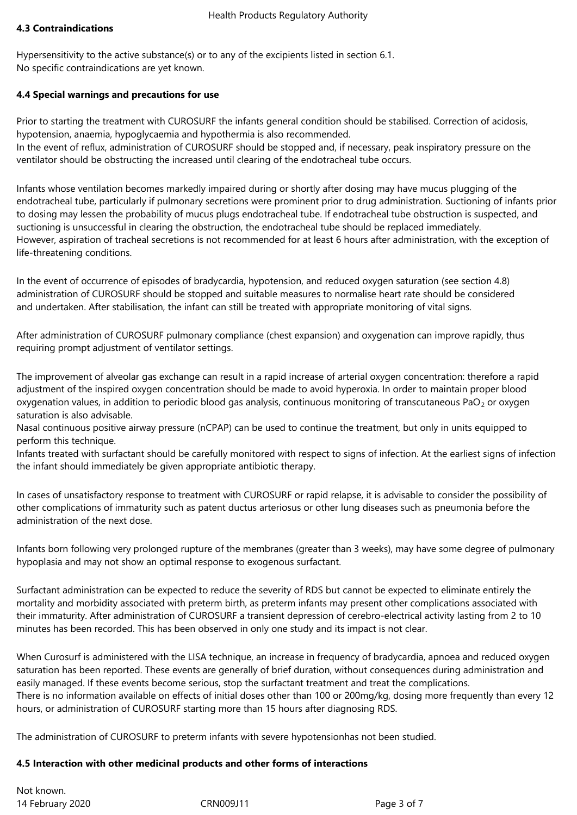# **4.3 Contraindications**

Hypersensitivity to the active substance(s) or to any of the excipients listed in section 6.1. No specific contraindications are yet known.

## **4.4 Special warnings and precautions for use**

Prior to starting the treatment with CUROSURF the infants general condition should be stabilised. Correction of acidosis, hypotension, anaemia, hypoglycaemia and hypothermia is also recommended. In the event of reflux, administration of CUROSURF should be stopped and, if necessary, peak inspiratory pressure on the ventilator should be obstructing the increased until clearing of the endotracheal tube occurs.

Infants whose ventilation becomes markedly impaired during or shortly after dosing may have mucus plugging of the endotracheal tube, particularly if pulmonary secretions were prominent prior to drug administration. Suctioning of infants prior to dosing may lessen the probability of mucus plugs endotracheal tube. If endotracheal tube obstruction is suspected, and suctioning is unsuccessful in clearing the obstruction, the endotracheal tube should be replaced immediately. However, aspiration of tracheal secretions is not recommended for at least 6 hours after administration, with the exception of life-threatening conditions.

In the event of occurrence of episodes of bradycardia, hypotension, and reduced oxygen saturation (see section 4.8) administration of CUROSURF should be stopped and suitable measures to normalise heart rate should be considered and undertaken. After stabilisation, the infant can still be treated with appropriate monitoring of vital signs.

After administration of CUROSURF pulmonary compliance (chest expansion) and oxygenation can improve rapidly, thus requiring prompt adjustment of ventilator settings.

The improvement of alveolar gas exchange can result in a rapid increase of arterial oxygen concentration: therefore a rapid adjustment of the inspired oxygen concentration should be made to avoid hyperoxia. In order to maintain proper blood oxygenation values, in addition to periodic blood gas analysis, continuous monitoring of transcutaneous PaO<sub>2</sub> or oxygen saturation is also advisable.

Nasal continuous positive airway pressure (nCPAP) can be used to continue the treatment, but only in units equipped to perform this technique.

Infants treated with surfactant should be carefully monitored with respect to signs of infection. At the earliest signs of infection the infant should immediately be given appropriate antibiotic therapy.

In cases of unsatisfactory response to treatment with CUROSURF or rapid relapse, it is advisable to consider the possibility of other complications of immaturity such as patent ductus arteriosus or other lung diseases such as pneumonia before the administration of the next dose.

Infants born following very prolonged rupture of the membranes (greater than 3 weeks), may have some degree of pulmonary hypoplasia and may not show an optimal response to exogenous surfactant.

Surfactant administration can be expected to reduce the severity of RDS but cannot be expected to eliminate entirely the mortality and morbidity associated with preterm birth, as preterm infants may present other complications associated with their immaturity. After administration of CUROSURF a transient depression of cerebro-electrical activity lasting from 2 to 10 minutes has been recorded. This has been observed in only one study and its impact is not clear.

When Curosurf is administered with the LISA technique, an increase in frequency of bradycardia, apnoea and reduced oxygen saturation has been reported. These events are generally of brief duration, without consequences during administration and easily managed. If these events become serious, stop the surfactant treatment and treat the complications. There is no information available on effects of initial doses other than 100 or 200mg/kg, dosing more frequently than every 12 hours, or administration of CUROSURF starting more than 15 hours after diagnosing RDS.

The administration of CUROSURF to preterm infants with severe hypotensionhas not been studied.

### **4.5 Interaction with other medicinal products and other forms of interactions**

14 February 2020 CRN009J11 Page 3 of 7 Not known.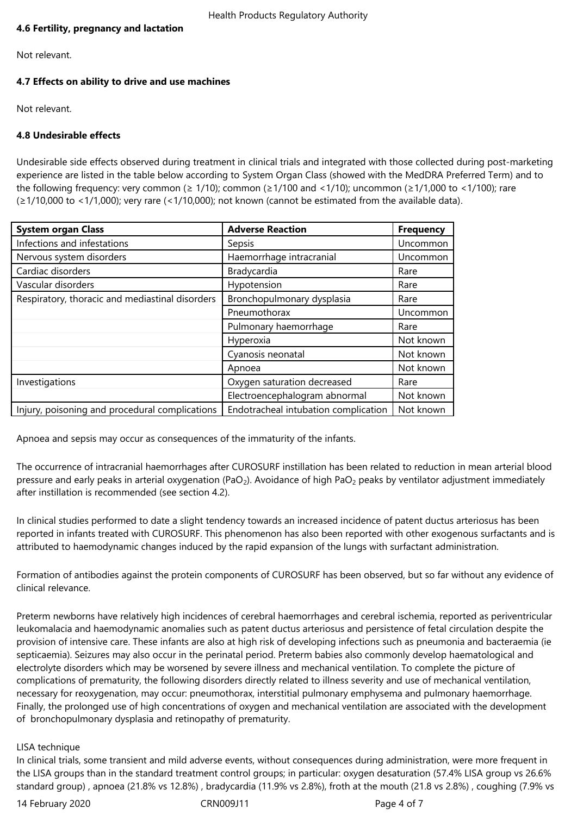# **4.6 Fertility, pregnancy and lactation**

Not relevant.

# **4.7 Effects on ability to drive and use machines**

Not relevant.

# **4.8 Undesirable effects**

Undesirable side effects observed during treatment in clinical trials and integrated with those collected during post-marketing experience are listed in the table below according to System Organ Class (showed with the MedDRA Preferred Term) and to the following frequency: very common (≥ 1/10); common (≥1/100 and <1/10); uncommon (≥1/1,000 to <1/100); rare (≥1/10,000 to <1/1,000); very rare (<1/10,000); not known (cannot be estimated from the available data).

| <b>System organ Class</b>                       | <b>Adverse Reaction</b>              | <b>Frequency</b> |
|-------------------------------------------------|--------------------------------------|------------------|
| Infections and infestations                     | Sepsis                               | Uncommon         |
| Nervous system disorders                        | Haemorrhage intracranial             | Uncommon         |
| Cardiac disorders                               | Bradycardia                          | Rare             |
| Vascular disorders                              | Hypotension                          | Rare             |
| Respiratory, thoracic and mediastinal disorders | Bronchopulmonary dysplasia           | Rare             |
|                                                 | Pneumothorax                         | Uncommon         |
|                                                 | Pulmonary haemorrhage                | Rare             |
|                                                 | Hyperoxia                            | Not known        |
|                                                 | Cyanosis neonatal                    | Not known        |
|                                                 | Apnoea                               | Not known        |
| Investigations                                  | Oxygen saturation decreased          | Rare             |
|                                                 | Electroencephalogram abnormal        | Not known        |
| Injury, poisoning and procedural complications  | Endotracheal intubation complication | Not known        |

Apnoea and sepsis may occur as consequences of the immaturity of the infants.

The occurrence of intracranial haemorrhages after CUROSURF instillation has been related to reduction in mean arterial blood pressure and early peaks in arterial oxygenation (PaO<sub>2</sub>). Avoidance of high PaO<sub>2</sub> peaks by ventilator adjustment immediately after instillation is recommended (see section 4.2).

In clinical studies performed to date a slight tendency towards an increased incidence of patent ductus arteriosus has been reported in infants treated with CUROSURF. This phenomenon has also been reported with other exogenous surfactants and is attributed to haemodynamic changes induced by the rapid expansion of the lungs with surfactant administration.

Formation of antibodies against the protein components of CUROSURF has been observed, but so far without any evidence of clinical relevance.

Preterm newborns have relatively high incidences of cerebral haemorrhages and cerebral ischemia, reported as periventricular leukomalacia and haemodynamic anomalies such as patent ductus arteriosus and persistence of fetal circulation despite the provision of intensive care. These infants are also at high risk of developing infections such as pneumonia and bacteraemia (ie septicaemia). Seizures may also occur in the perinatal period. Preterm babies also commonly develop haematological and electrolyte disorders which may be worsened by severe illness and mechanical ventilation. To complete the picture of complications of prematurity, the following disorders directly related to illness severity and use of mechanical ventilation, necessary for reoxygenation, may occur: pneumothorax, interstitial pulmonary emphysema and pulmonary haemorrhage. Finally, the prolonged use of high concentrations of oxygen and mechanical ventilation are associated with the development of bronchopulmonary dysplasia and retinopathy of prematurity.

# LISA technique

In clinical trials, some transient and mild adverse events, without consequences during administration, were more frequent in the LISA groups than in the standard treatment control groups; in particular: oxygen desaturation (57.4% LISA group vs 26.6% standard group) , apnoea (21.8% vs 12.8%) , bradycardia (11.9% vs 2.8%), froth at the mouth (21.8 vs 2.8%) , coughing (7.9% vs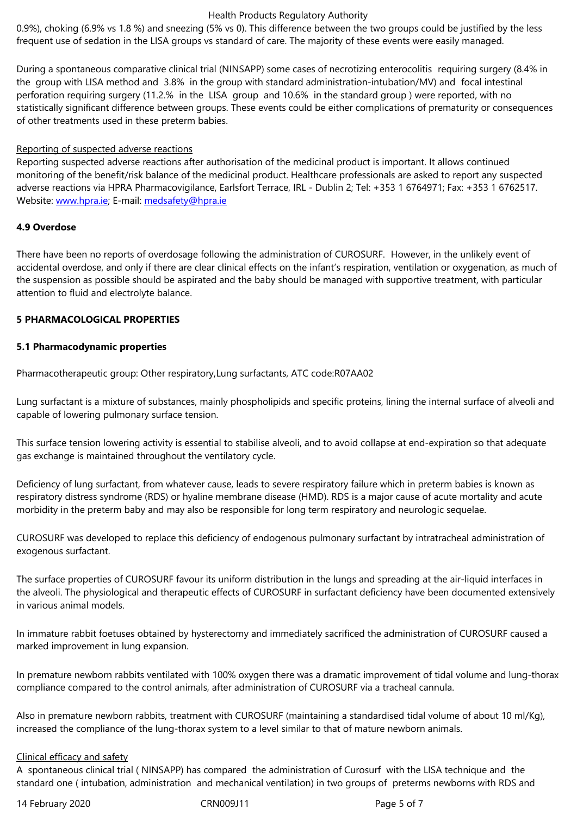During a spontaneous comparative clinical trial (NINSAPP) some cases of necrotizing enterocolitis requiring surgery (8.4% in the group with LISA method and 3.8% in the group with standard administration-intubation/MV) and focal intestinal perforation requiring surgery (11.2.% in the LISA group and 10.6% in the standard group ) were reported, with no statistically significant difference between groups. These events could be either complications of prematurity or consequences of other treatments used in these preterm babies.

## Reporting of suspected adverse reactions

Reporting suspected adverse reactions after authorisation of the medicinal product is important. It allows continued monitoring of the benefit/risk balance of the medicinal product. Healthcare professionals are asked to report any suspected adverse reactions via HPRA Pharmacovigilance, Earlsfort Terrace, IRL - Dublin 2; Tel: +353 1 6764971; Fax: +353 1 6762517. Website: www.hpra.ie; E-mail: medsafety@hpra.ie

# **4.9 Overdose**

There ha[ve been no re](http://www.hpra.ie/)ports o[f overdosage follow](mailto:medsafety@hpra.ie)ing the administration of CUROSURF. However, in the unlikely event of accidental overdose, and only if there are clear clinical effects on the infant's respiration, ventilation or oxygenation, as much of the suspension as possible should be aspirated and the baby should be managed with supportive treatment, with particular attention to fluid and electrolyte balance.

# **5 PHARMACOLOGICAL PROPERTIES**

## **5.1 Pharmacodynamic properties**

Pharmacotherapeutic group: Other respiratory,Lung surfactants, ATC code:R07AA02

Lung surfactant is a mixture of substances, mainly phospholipids and specific proteins, lining the internal surface of alveoli and capable of lowering pulmonary surface tension.

This surface tension lowering activity is essential to stabilise alveoli, and to avoid collapse at end-expiration so that adequate gas exchange is maintained throughout the ventilatory cycle.

Deficiency of lung surfactant, from whatever cause, leads to severe respiratory failure which in preterm babies is known as respiratory distress syndrome (RDS) or hyaline membrane disease (HMD). RDS is a major cause of acute mortality and acute morbidity in the preterm baby and may also be responsible for long term respiratory and neurologic sequelae.

CUROSURF was developed to replace this deficiency of endogenous pulmonary surfactant by intratracheal administration of exogenous surfactant.

The surface properties of CUROSURF favour its uniform distribution in the lungs and spreading at the air-liquid interfaces in the alveoli. The physiological and therapeutic effects of CUROSURF in surfactant deficiency have been documented extensively in various animal models.

In immature rabbit foetuses obtained by hysterectomy and immediately sacrificed the administration of CUROSURF caused a marked improvement in lung expansion.

In premature newborn rabbits ventilated with 100% oxygen there was a dramatic improvement of tidal volume and lung-thorax compliance compared to the control animals, after administration of CUROSURF via a tracheal cannula.

Also in premature newborn rabbits, treatment with CUROSURF (maintaining a standardised tidal volume of about 10 ml/Kg), increased the compliance of the lung-thorax system to a level similar to that of mature newborn animals.

## Clinical efficacy and safety

A spontaneous clinical trial ( NINSAPP) has compared the administration of Curosurf with the LISA technique and the standard one ( intubation, administration and mechanical ventilation) in two groups of preterms newborns with RDS and

14 February 2020 CRN009J11 Page 5 of 7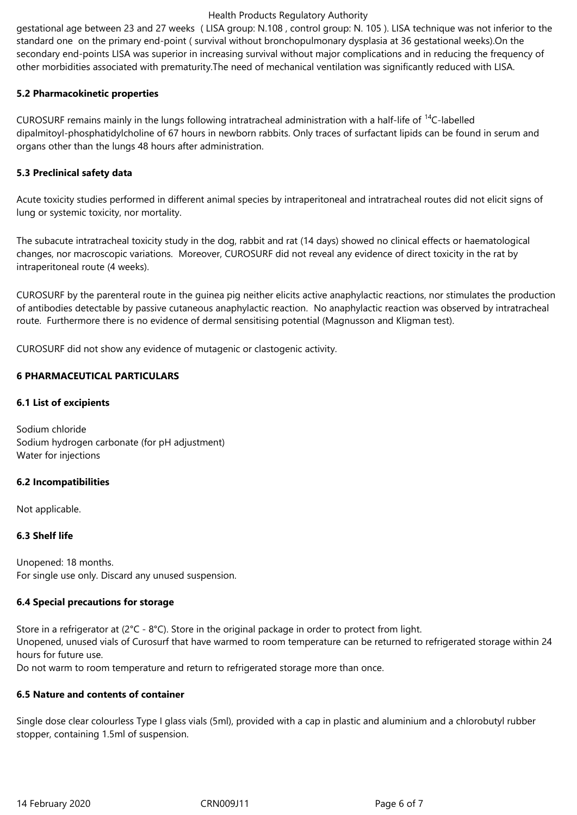## Health Products Regulatory Authority

gestational age between 23 and 27 weeks ( LISA group: N.108 , control group: N. 105 ). LISA technique was not inferior to the standard one on the primary end-point ( survival without bronchopulmonary dysplasia at 36 gestational weeks).On the secondary end-points LISA was superior in increasing survival without major complications and in reducing the frequency of other morbidities associated with prematurity.The need of mechanical ventilation was significantly reduced with LISA.

# **5.2 Pharmacokinetic properties**

CUROSURF remains mainly in the lungs following intratracheal administration with a half-life of <sup>14</sup>C-labelled dipalmitoyl-phosphatidylcholine of 67 hours in newborn rabbits. Only traces of surfactant lipids can be found in serum and organs other than the lungs 48 hours after administration.

# **5.3 Preclinical safety data**

Acute toxicity studies performed in different animal species by intraperitoneal and intratracheal routes did not elicit signs of lung or systemic toxicity, nor mortality.

The subacute intratracheal toxicity study in the dog, rabbit and rat (14 days) showed no clinical effects or haematological changes, nor macroscopic variations. Moreover, CUROSURF did not reveal any evidence of direct toxicity in the rat by intraperitoneal route (4 weeks).

CUROSURF by the parenteral route in the guinea pig neither elicits active anaphylactic reactions, nor stimulates the production of antibodies detectable by passive cutaneous anaphylactic reaction. No anaphylactic reaction was observed by intratracheal route. Furthermore there is no evidence of dermal sensitising potential (Magnusson and Kligman test).

CUROSURF did not show any evidence of mutagenic or clastogenic activity.

# **6 PHARMACEUTICAL PARTICULARS**

## **6.1 List of excipients**

Sodium chloride Sodium hydrogen carbonate (for pH adjustment) Water for injections

### **6.2 Incompatibilities**

Not applicable.

# **6.3 Shelf life**

Unopened: 18 months. For single use only. Discard any unused suspension.

# **6.4 Special precautions for storage**

Store in a refrigerator at (2°C - 8°C). Store in the original package in order to protect from light. Unopened, unused vials of Curosurf that have warmed to room temperature can be returned to refrigerated storage within 24 hours for future use.

Do not warm to room temperature and return to refrigerated storage more than once.

## **6.5 Nature and contents of container**

Single dose clear colourless Type I glass vials (5ml), provided with a cap in plastic and aluminium and a chlorobutyl rubber stopper, containing 1.5ml of suspension.